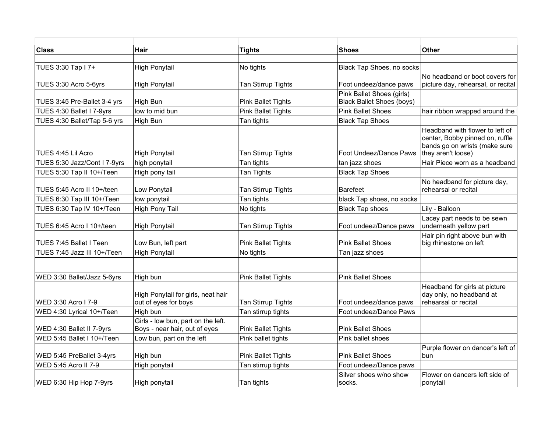| <b>Class</b>                 | Hair                                                                | <b>Tights</b>             | <b>Shoes</b>                     | <b>Other</b>                                                                                                              |
|------------------------------|---------------------------------------------------------------------|---------------------------|----------------------------------|---------------------------------------------------------------------------------------------------------------------------|
| TUES 3:30 Tap I 7+           | <b>High Ponytail</b>                                                | No tights                 | Black Tap Shoes, no socks        |                                                                                                                           |
|                              |                                                                     |                           |                                  | No headband or boot covers for                                                                                            |
| TUES 3:30 Acro 5-6yrs        | <b>High Ponytail</b>                                                | Tan Stirrup Tights        | Foot undeez/dance paws           | picture day, rehearsal, or recital                                                                                        |
|                              |                                                                     |                           | Pink Ballet Shoes (girls)        |                                                                                                                           |
| TUES 3:45 Pre-Ballet 3-4 yrs | High Bun                                                            | <b>Pink Ballet Tights</b> | <b>Black Ballet Shoes (boys)</b> |                                                                                                                           |
| TUES 4:30 Ballet I 7-9yrs    | low to mid bun                                                      | <b>Pink Ballet Tights</b> | <b>Pink Ballet Shoes</b>         | hair ribbon wrapped around the                                                                                            |
| TUES 4:30 Ballet/Tap 5-6 yrs | High Bun                                                            | Tan tights                | <b>Black Tap Shoes</b>           |                                                                                                                           |
| TUES 4:45 Lil Acro           | High Ponytail                                                       | Tan Stirrup Tights        | Foot Undeez/Dance Paws           | Headband with flower to left of<br>center, Bobby pinned on, ruffle<br>bands go on wrists (make sure<br>they aren't loose) |
| TUES 5:30 Jazz/Cont I 7-9yrs | high ponytail                                                       | Tan tights                | tan jazz shoes                   | Hair Piece worn as a headband                                                                                             |
| TUES 5:30 Tap II 10+/Teen    | High pony tail                                                      | Tan Tights                | <b>Black Tap Shoes</b>           |                                                                                                                           |
| TUES 5:45 Acro II 10+/teen   | Low Ponytail                                                        | Tan Stirrup Tights        | <b>Barefeet</b>                  | No headband for picture day,<br>rehearsal or recital                                                                      |
| TUES 6:30 Tap III 10+/Teen   | low ponytail                                                        | Tan tights                | black Tap shoes, no socks        |                                                                                                                           |
| TUES 6:30 Tap IV 10+/Teen    | High Pony Tail                                                      | No tights                 | <b>Black Tap shoes</b>           | Lily - Balloon                                                                                                            |
| TUES 6:45 Acro I 10+/teen    | High Ponytail                                                       | Tan Stirrup Tights        | Foot undeez/Dance paws           | Lacey part needs to be sewn<br>underneath yellow part                                                                     |
| TUES 7:45 Ballet I Teen      | Low Bun, left part                                                  | <b>Pink Ballet Tights</b> | <b>Pink Ballet Shoes</b>         | Hair pin right above bun with<br>big rhinestone on left                                                                   |
| TUES 7:45 Jazz III 10+/Teen  | <b>High Ponytail</b>                                                | No tights                 | Tan jazz shoes                   |                                                                                                                           |
|                              |                                                                     |                           |                                  |                                                                                                                           |
| WED 3:30 Ballet/Jazz 5-6yrs  | High bun                                                            | <b>Pink Ballet Tights</b> | <b>Pink Ballet Shoes</b>         |                                                                                                                           |
| WED 3:30 Acro I 7-9          | High Ponytail for girls, neat hair<br>out of eyes for boys          | Tan Stirrup Tights        | Foot undeez/dance paws           | Headband for girls at picture<br>day only, no headband at<br>rehearsal or recital                                         |
| WED 4:30 Lyrical 10+/Teen    | High bun                                                            | Tan stirrup tights        | Foot undeez/Dance Paws           |                                                                                                                           |
| WED 4:30 Ballet II 7-9yrs    | Girls - low bun, part on the left.<br>Boys - near hair, out of eyes | <b>Pink Ballet Tights</b> | <b>Pink Ballet Shoes</b>         |                                                                                                                           |
| WED 5:45 Ballet I 10+/Teen   | Low bun, part on the left                                           | Pink ballet tights        | Pink ballet shoes                |                                                                                                                           |
| WED 5:45 PreBallet 3-4yrs    | High bun                                                            | <b>Pink Ballet Tights</b> | <b>Pink Ballet Shoes</b>         | Purple flower on dancer's left of<br>bun                                                                                  |
| WED 5:45 Acro II 7-9         | High ponytail                                                       | Tan stirrup tights        | Foot undeez/Dance paws           |                                                                                                                           |
| WED 6:30 Hip Hop 7-9yrs      | High ponytail                                                       | Tan tights                | Silver shoes w/no show<br>socks. | Flower on dancers left side of<br>ponytail                                                                                |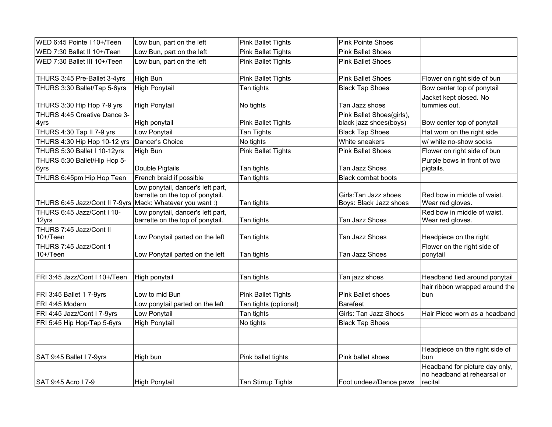| WED 6:45 Pointe I 10+/Teen                                | Low bun, part on the left                                             | Pink Ballet Tights        | <b>Pink Pointe Shoes</b>                        |                                                                          |
|-----------------------------------------------------------|-----------------------------------------------------------------------|---------------------------|-------------------------------------------------|--------------------------------------------------------------------------|
| WED 7:30 Ballet II 10+/Teen                               | Low Bun, part on the left                                             | <b>Pink Ballet Tights</b> | <b>Pink Ballet Shoes</b>                        |                                                                          |
| WED 7:30 Ballet III 10+/Teen                              | Low bun, part on the left                                             | <b>Pink Ballet Tights</b> | <b>Pink Ballet Shoes</b>                        |                                                                          |
|                                                           |                                                                       |                           |                                                 |                                                                          |
| THURS 3:45 Pre-Ballet 3-4yrs                              | <b>High Bun</b>                                                       | <b>Pink Ballet Tights</b> | <b>Pink Ballet Shoes</b>                        | Flower on right side of bun                                              |
| THURS 3:30 Ballet/Tap 5-6yrs                              | <b>High Ponytail</b>                                                  | Tan tights                | <b>Black Tap Shoes</b>                          | Bow center top of ponytail                                               |
| THURS 3:30 Hip Hop 7-9 yrs                                | <b>High Ponytail</b>                                                  | No tights                 | Tan Jazz shoes                                  | Jacket kept closed. No<br>tummies out.                                   |
| THURS 4:45 Creative Dance 3-                              |                                                                       |                           | Pink Ballet Shoes(girls),                       |                                                                          |
| 4yrs                                                      | High ponytail                                                         | <b>Pink Ballet Tights</b> | black jazz shoes(boys)                          | Bow center top of ponytail                                               |
| THURS 4:30 Tap II 7-9 yrs                                 | Low Ponytail                                                          | Tan Tights                | <b>Black Tap Shoes</b>                          | Hat worn on the right side                                               |
| THURS 4:30 Hip Hop 10-12 yrs                              | Dancer's Choice                                                       | No tights                 | White sneakers                                  | w/ white no-show socks                                                   |
| THURS 5:30 Ballet I 10-12yrs                              | High Bun                                                              | <b>Pink Ballet Tights</b> | <b>Pink Ballet Shoes</b>                        | Flower on right side of bun                                              |
| THURS 5:30 Ballet/Hip Hop 5-<br>6yrs                      | Double Pigtails                                                       | Tan tights                | Tan Jazz Shoes                                  | Purple bows in front of two<br>pigtails.                                 |
| THURS 6:45pm Hip Hop Teen                                 | French braid if possible                                              | Tan tights                | <b>Black combat boots</b>                       |                                                                          |
| THURS 6:45 Jazz/Cont II 7-9yrs Mack: Whatever you want :) | Low ponytail, dancer's left part,<br>barrette on the top of ponytail. | Tan tights                | Girls: Tan Jazz shoes<br>Boys: Black Jazz shoes | Red bow in middle of waist.<br>Wear red gloves.                          |
| THURS 6:45 Jazz/Cont I 10-<br>12yrs                       | Low ponytail, dancer's left part,<br>barrette on the top of ponytail. | Tan tights                | Tan Jazz Shoes                                  | Red bow in middle of waist.<br>Wear red gloves.                          |
| THURS 7:45 Jazz/Cont II<br>$10+$ /Teen                    | Low Ponytail parted on the left                                       | Tan tights                | Tan Jazz Shoes                                  | Headpiece on the right                                                   |
| THURS 7:45 Jazz/Cont 1<br>$10+$ /Teen                     | Low Ponytail parted on the left                                       | Tan tights                | Tan Jazz Shoes                                  | Flower on the right side of<br>ponytail                                  |
| FRI 3:45 Jazz/Cont I 10+/Teen                             | High ponytail                                                         | Tan tights                | Tan jazz shoes                                  | Headband tied around ponytail                                            |
| FRI 3:45 Ballet 1 7-9yrs                                  | Low to mid Bun                                                        | <b>Pink Ballet Tights</b> | <b>Pink Ballet shoes</b>                        | hair ribbon wrapped around the<br>bun.                                   |
| FRI 4:45 Modern                                           | Low ponytail parted on the left                                       | Tan tights (optional)     | <b>Barefeet</b>                                 |                                                                          |
| FRI 4:45 Jazz/Cont I 7-9yrs                               | Low Ponytail                                                          | Tan tights                | Girls: Tan Jazz Shoes                           | Hair Piece worn as a headband                                            |
| FRI 5:45 Hip Hop/Tap 5-6yrs                               | <b>High Ponytail</b>                                                  | No tights                 | <b>Black Tap Shoes</b>                          |                                                                          |
|                                                           |                                                                       |                           |                                                 |                                                                          |
| SAT 9:45 Ballet I 7-9yrs                                  | High bun                                                              | Pink ballet tights        | Pink ballet shoes                               | Headpiece on the right side of<br>bun                                    |
| SAT 9:45 Acro I 7-9                                       | <b>High Ponytail</b>                                                  | Tan Stirrup Tights        | Foot undeez/Dance paws                          | Headband for picture day only,<br>no headband at rehearsal or<br>recital |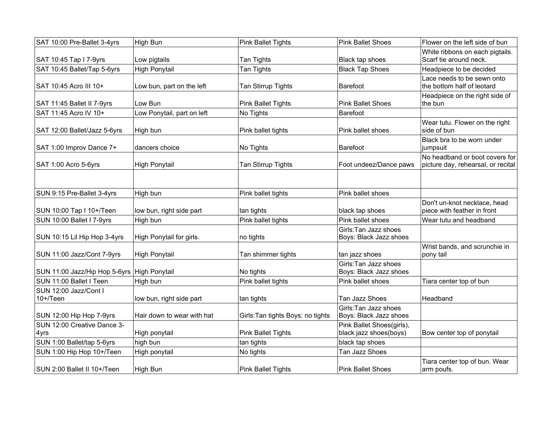| SAT 10:00 Pre-Ballet 3-4yrs                 | High Bun                   | <b>Pink Ballet Tights</b>         | <b>Pink Ballet Shoes</b>                            | Flower on the left side of bun                                       |
|---------------------------------------------|----------------------------|-----------------------------------|-----------------------------------------------------|----------------------------------------------------------------------|
| SAT 10:45 Tap I 7-9yrs                      | Low pigtails               | Tan Tights                        | Black tap shoes                                     | White ribbons on each pigtails.<br>Scarf tie around neck.            |
| SAT 10:45 Ballet/Tap 5-6yrs                 | High Ponytail              | Tan Tights                        | <b>Black Tap Shoes</b>                              | Headpiece to be decided                                              |
| SAT 10:45 Acro III 10+                      | Low bun, part on the left  | Tan Stirrup Tights                | Barefoot                                            | Lace needs to be sewn onto<br>the bottom half of leotard             |
| SAT 11:45 Ballet II 7-9yrs                  | Low Bun                    | <b>Pink Ballet Tights</b>         | Pink Ballet Shoes                                   | Headpiece on the right side of<br>the bun                            |
| SAT 11:45 Acro IV 10+                       | Low Ponytail, part on left | No Tights                         | <b>Barefoot</b>                                     |                                                                      |
| SAT 12:00 Ballet/Jazz 5-6yrs                | High bun                   | Pink ballet tights                | Pink ballet shoes                                   | Wear tutu. Flower on the right<br>side of bun                        |
| SAT 1:00 Improv Dance 7+                    | dancers choice             | No Tights                         | Barefoot                                            | Black bra to be worn under<br>jumpsuit                               |
| SAT 1:00 Acro 5-6yrs                        | <b>High Ponytail</b>       | Tan Stirrup Tights                | Foot undeez/Dance paws                              | No headband or boot covers for<br>picture day, rehearsal, or recital |
|                                             |                            |                                   |                                                     |                                                                      |
| SUN 9:15 Pre-Ballet 3-4yrs                  | High bun                   | Pink ballet tights                | Pink ballet shoes                                   |                                                                      |
| SUN 10:00 Tap I 10+/Teen                    | low bun, right side part   | tan tights                        | black tap shoes                                     | Don't un-knot necklace, head<br>piece with feather in front          |
| SUN 10:00 Ballet I 7-9yrs                   | High bun                   | Pink ballet tights                | Pink ballet shoes                                   | Wear tutu and headband                                               |
| SUN 10:15 Lil Hip Hop 3-4yrs                | High Ponytail for girls.   | no tights                         | Girls: Tan Jazz shoes<br>Boys: Black Jazz shoes     |                                                                      |
| SUN 11:00 Jazz/Cont 7-9yrs                  | High Ponytail              | Tan shimmer tights                | tan jazz shoes                                      | Wrist bands, and scrunchie in<br>pony tail                           |
| SUN 11:00 Jazz/Hip Hop 5-6yrs High Ponytail |                            | No tights                         | Girls: Tan Jazz shoes<br>Boys: Black Jazz shoes     |                                                                      |
| SUN 11:00 Ballet I Teen                     | High bun                   | Pink ballet tights                | Pink ballet shoes                                   | Tiara center top of bun                                              |
| SUN 12:00 Jazz/Cont I<br>$10+$ /Teen        | low bun, right side part   | tan tights                        | Tan Jazz Shoes                                      | Headband                                                             |
| SUN 12:00 Hip Hop 7-9yrs                    | Hair down to wear with hat | Girls: Tan tights Boys: no tights | Girls: Tan Jazz shoes<br>Boys: Black Jazz shoes     |                                                                      |
| SUN 12:00 Creative Dance 3-<br>4yrs         | High ponytail              | <b>Pink Ballet Tights</b>         | Pink Ballet Shoes(girls),<br>black jazz shoes(boys) | Bow center top of ponytail                                           |
| SUN 1:00 Ballet/tap 5-6yrs                  | high bun                   | tan tights                        | black tap shoes                                     |                                                                      |
| SUN 1:00 Hip Hop 10+/Teen                   | High ponytail              | No tights                         | Tan Jazz Shoes                                      |                                                                      |
| SUN 2:00 Ballet II 10+/Teen                 | High Bun                   | <b>Pink Ballet Tights</b>         | Pink Ballet Shoes                                   | Tiara center top of bun. Wear<br>arm poufs.                          |